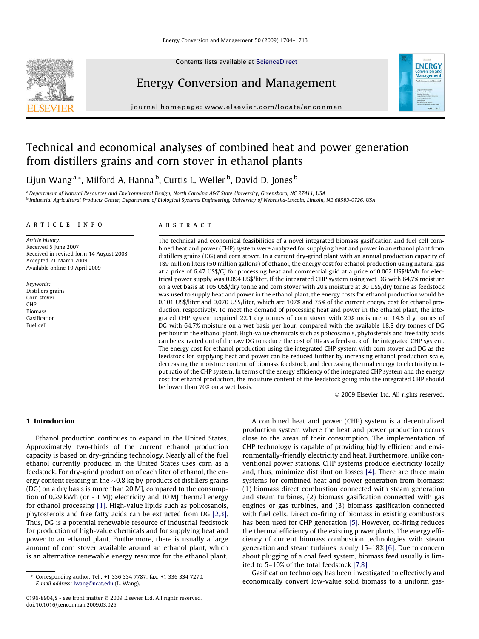Contents lists available at [ScienceDirect](http://www.sciencedirect.com/science/journal/01968904)



Energy Conversion and Management



journal homepage: [www.elsevier.com/locate/enconman](http://www.elsevier.com/locate/enconman)

# Technical and economical analyses of combined heat and power generation from distillers grains and corn stover in ethanol plants

Lijun Wang <sup>a,</sup>\*, Milford A. Hanna <sup>b</sup>, Curtis L. Weller <sup>b</sup>, David D. Jones <sup>b</sup>

a Department of Natural Resources and Environmental Design, North Carolina A&T State University, Greensboro, NC 27411, USA <sup>b</sup> Industrial Agricultural Products Center, Department of Biological Systems Engineering, University of Nebraska-Lincoln, Lincoln, NE 68583-0726, USA

#### article info

Article history: Received 5 June 2007 Received in revised form 14 August 2008 Accepted 21 March 2009 Available online 19 April 2009

Keywords: Distillers grains Corn stover CHP Biomass Gasification Fuel cell

#### **ABSTRACT**

The technical and economical feasibilities of a novel integrated biomass gasification and fuel cell combined heat and power (CHP) system were analyzed for supplying heat and power in an ethanol plant from distillers grains (DG) and corn stover. In a current dry-grind plant with an annual production capacity of 189 million liters (50 million gallons) of ethanol, the energy cost for ethanol production using natural gas at a price of 6.47 US\$/GJ for processing heat and commercial grid at a price of 0.062 US\$/kWh for electrical power supply was 0.094 US\$/liter. If the integrated CHP system using wet DG with 64.7% moisture on a wet basis at 105 US\$/dry tonne and corn stover with 20% moisture at 30 US\$/dry tonne as feedstock was used to supply heat and power in the ethanol plant, the energy costs for ethanol production would be 0.101 US\$/liter and 0.070 US\$/liter, which are 107% and 75% of the current energy cost for ethanol production, respectively. To meet the demand of processing heat and power in the ethanol plant, the integrated CHP system required 22.1 dry tonnes of corn stover with 20% moisture or 14.5 dry tonnes of DG with 64.7% moisture on a wet basis per hour, compared with the available 18.8 dry tonnes of DG per hour in the ethanol plant. High-value chemicals such as policosanols, phytosterols and free fatty acids can be extracted out of the raw DG to reduce the cost of DG as a feedstock of the integrated CHP system. The energy cost for ethanol production using the integrated CHP system with corn stover and DG as the feedstock for supplying heat and power can be reduced further by increasing ethanol production scale, decreasing the moisture content of biomass feedstock, and decreasing thermal energy to electricity output ratio of the CHP system. In terms of the energy efficiency of the integrated CHP system and the energy cost for ethanol production, the moisture content of the feedstock going into the integrated CHP should be lower than 70% on a wet basis.

- 2009 Elsevier Ltd. All rights reserved.

## 1. Introduction

Ethanol production continues to expand in the United States. Approximately two-thirds of the current ethanol production capacity is based on dry-grinding technology. Nearly all of the fuel ethanol currently produced in the United States uses corn as a feedstock. For dry-grind production of each liter of ethanol, the energy content residing in the  ${\sim}0.8$  kg by-products of distillers grains (DG) on a dry basis is more than 20 MJ, compared to the consumption of 0.29 kWh (or  ${\sim}1$  MJ) electricity and 10 MJ thermal energy for ethanol processing [\[1\]](#page-9-0). High-value lipids such as policosanols, phytosterols and free fatty acids can be extracted from DG [\[2,3\].](#page-9-0) Thus, DG is a potential renewable resource of industrial feedstock for production of high-value chemicals and for supplying heat and power to an ethanol plant. Furthermore, there is usually a large amount of corn stover available around an ethanol plant, which is an alternative renewable energy resource for the ethanol plant.

A combined heat and power (CHP) system is a decentralized production system where the heat and power production occurs close to the areas of their consumption. The implementation of CHP technology is capable of providing highly efficient and environmentally-friendly electricity and heat. Furthermore, unlike conventional power stations, CHP systems produce electricity locally and, thus, minimize distribution losses [\[4\].](#page-9-0) There are three main systems for combined heat and power generation from biomass: (1) biomass direct combustion connected with steam generation and steam turbines, (2) biomass gasification connected with gas engines or gas turbines, and (3) biomass gasification connected with fuel cells. Direct co-firing of biomass in existing combustors has been used for CHP generation [\[5\]](#page-9-0). However, co-firing reduces the thermal efficiency of the existing power plants. The energy efficiency of current biomass combustion technologies with steam generation and steam turbines is only 15–18% [\[6\].](#page-9-0) Due to concern about plugging of a coal feed system, biomass feed usually is limited to 5–10% of the total feedstock [\[7,8\].](#page-9-0)

Gasification technology has been investigated to effectively and economically convert low-value solid biomass to a uniform gas-

<sup>\*</sup> Corresponding author. Tel.: +1 336 334 7787; fax: +1 336 334 7270. E-mail address: [lwang@ncat.edu](mailto:lwang@ncat.edu) (L. Wang).

<sup>0196-8904/\$ -</sup> see front matter © 2009 Elsevier Ltd. All rights reserved. doi:10.1016/j.enconman.2009.03.025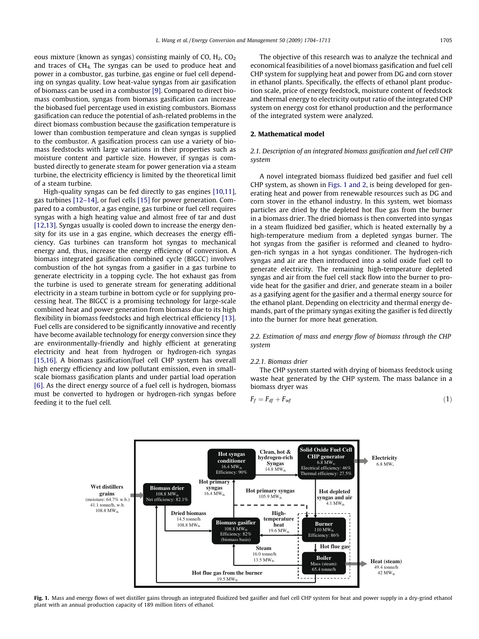<span id="page-1-0"></span>eous mixture (known as syngas) consisting mainly of CO,  $H_2$ , CO<sub>2</sub> and traces of  $CH<sub>4</sub>$ . The syngas can be used to produce heat and power in a combustor, gas turbine, gas engine or fuel cell depending on syngas quality. Low heat-value syngas from air gasification of biomass can be used in a combustor [\[9\]](#page-9-0). Compared to direct biomass combustion, syngas from biomass gasification can increase the biobased fuel percentage used in existing combustors. Biomass gasification can reduce the potential of ash-related problems in the direct biomass combustion because the gasification temperature is lower than combustion temperature and clean syngas is supplied to the combustor. A gasification process can use a variety of biomass feedstocks with large variations in their properties such as moisture content and particle size. However, if syngas is combusted directly to generate steam for power generation via a steam turbine, the electricity efficiency is limited by the theoretical limit of a steam turbine.

High-quality syngas can be fed directly to gas engines [\[10,11\],](#page-9-0) gas turbines [\[12–14\],](#page-9-0) or fuel cells [\[15\]](#page-9-0) for power generation. Compared to a combustor, a gas engine, gas turbine or fuel cell requires syngas with a high heating value and almost free of tar and dust [\[12,13\]](#page-9-0). Syngas usually is cooled down to increase the energy density for its use in a gas engine, which decreases the energy efficiency. Gas turbines can transform hot syngas to mechanical energy and, thus, increase the energy efficiency of conversion. A biomass integrated gasification combined cycle (BIGCC) involves combustion of the hot syngas from a gasifier in a gas turbine to generate electricity in a topping cycle. The hot exhaust gas from the turbine is used to generate stream for generating additional electricity in a steam turbine in bottom cycle or for supplying processing heat. The BIGCC is a promising technology for large-scale combined heat and power generation from biomass due to its high flexibility in biomass feedstocks and high electrical efficiency [\[13\].](#page-9-0) Fuel cells are considered to be significantly innovative and recently have become available technology for energy conversion since they are environmentally-friendly and highly efficient at generating electricity and heat from hydrogen or hydrogen-rich syngas [\[15,16\]](#page-9-0). A biomass gasification/fuel cell CHP system has overall high energy efficiency and low pollutant emission, even in smallscale biomass gasification plants and under partial load operation [\[6\]](#page-9-0). As the direct energy source of a fuel cell is hydrogen, biomass must be converted to hydrogen or hydrogen-rich syngas before feeding it to the fuel cell.

The objective of this research was to analyze the technical and economical feasibilities of a novel biomass gasification and fuel cell CHP system for supplying heat and power from DG and corn stover in ethanol plants. Specifically, the effects of ethanol plant production scale, price of energy feedstock, moisture content of feedstock and thermal energy to electricity output ratio of the integrated CHP system on energy cost for ethanol production and the performance of the integrated system were analyzed.

## 2. Mathematical model

# 2.1. Description of an integrated biomass gasification and fuel cell CHP system

A novel integrated biomass fluidized bed gasifier and fuel cell CHP system, as shown in Figs. 1 and 2, is being developed for generating heat and power from renewable resources such as DG and corn stover in the ethanol industry. In this system, wet biomass particles are dried by the depleted hot flue gas from the burner in a biomass drier. The dried biomass is then converted into syngas in a steam fluidized bed gasifier, which is heated externally by a high-temperature medium from a depleted syngas burner. The hot syngas from the gasifier is reformed and cleaned to hydrogen-rich syngas in a hot syngas conditioner. The hydrogen-rich syngas and air are then introduced into a solid oxide fuel cell to generate electricity. The remaining high-temperature depleted syngas and air from the fuel cell stack flow into the burner to provide heat for the gasifier and drier, and generate steam in a boiler as a gasifying agent for the gasifier and a thermal energy source for the ethanol plant. Depending on electricity and thermal energy demands, part of the primary syngas exiting the gasifier is fed directly into the burner for more heat generation.

2.2. Estimation of mass and energy flow of biomass through the CHP system

#### 2.2.1. Biomass drier

The CHP system started with drying of biomass feedstock using waste heat generated by the CHP system. The mass balance in a biomass dryer was

$$
F_f = F_{df} + F_{wf} \tag{1}
$$



Fig. 1. Mass and energy flows of wet distiller gains through an integrated fluidized bed gasifier and fuel cell CHP system for heat and power supply in a dry-grind ethanol plant with an annual production capacity of 189 million liters of ethanol.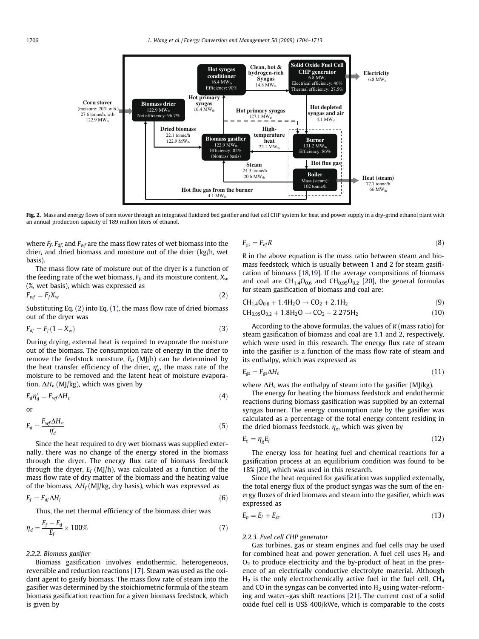<span id="page-2-0"></span>

Fig. 2. Mass and energy flows of corn stover through an integrated fluidized bed gasifier and fuel cell CHP system for heat and power supply in a dry-grind ethanol plant with an annual production capacity of 189 million liters of ethanol.

where  $F_f$ ,  $F_{df}$  and  $F_{wf}$  are the mass flow rates of wet biomass into the drier, and dried biomass and moisture out of the drier (kg/h, wet basis).

The mass flow rate of moisture out of the dryer is a function of the feeding rate of the wet biomass,  $F_f$ , and its moisture content,  $X_w$ (%, wet basis), which was expressed as

$$
F_{wf} = F_f X_w \tag{2}
$$

Substituting Eq. (2) into Eq. [\(1\)](#page-1-0), the mass flow rate of dried biomass out of the dryer was

$$
F_{df} = F_f (1 - X_w) \tag{3}
$$

During drying, external heat is required to evaporate the moisture out of the biomass. The consumption rate of energy in the drier to remove the feedstock moisture,  $E_d$  (MJ/h) can be determined by the heat transfer efficiency of the drier,  $\eta_d'$ , the mass rate of the moisture to be removed and the latent heat of moisture evaporation,  $\Delta H_v$  (MJ/kg), which was given by

$$
E_d \eta'_d = F_{wf} \Delta H_v \tag{4}
$$

or

$$
E_d = \frac{F_{wf} \Delta H_\nu}{\eta_d'} \tag{5}
$$

Since the heat required to dry wet biomass was supplied externally, there was no change of the energy stored in the biomass through the dryer. The energy flux rate of biomass feedstock through the dryer,  $E_f$  (MJ/h), was calculated as a function of the mass flow rate of dry matter of the biomass and the heating value of the biomass,  $\Delta H_f$  (MJ/kg, dry basis), which was expressed as

$$
E_f = F_{df} \Delta H_f \tag{6}
$$

Thus, the net thermal efficiency of the biomass drier was

$$
\eta_d = \frac{E_f - E_d}{E_f} \times 100\% \tag{7}
$$

#### 2.2.2. Biomass gasifier

Biomass gasification involves endothermic, heterogeneous, reversible and reduction reactions [\[17\]](#page-9-0). Steam was used as the oxidant agent to gasify biomass. The mass flow rate of steam into the gasifier was determined by the stoichiometric formula of the steam biomass gasification reaction for a given biomass feedstock, which is given by

$$
F_{gs} = F_{df}R \tag{8}
$$

R in the above equation is the mass ratio between steam and biomass feedstock, which is usually between 1 and 2 for steam gasification of biomass [\[18,19\]](#page-9-0). If the average compositions of biomass and coal are  $CH_{1.4}O_{0.6}$  and  $CH_{0.95}O_{0.2}$  [\[20\]](#page-9-0), the general formulas for steam gasification of biomass and coal are:

$$
CH_{1.4}O_{0.6} + 1.4H_2O \rightarrow CO_2 + 2.1H_2
$$
\n(9)

$$
CH_{0.95}O_{0.2} + 1.8H_2O \rightarrow CO_2 + 2.275H_2
$$
 (10)

According to the above formulas, the values of  $R$  (mass ratio) for steam gasification of biomass and coal are 1.1 and 2, respectively, which were used in this research. The energy flux rate of steam into the gasifier is a function of the mass flow rate of steam and its enthalpy, which was expressed as

$$
E_{gs} = F_{gs} \Delta H_s \tag{11}
$$

where  $\Delta H_s$  was the enthalpy of steam into the gasifier (MJ/kg).

The energy for heating the biomass feedstock and endothermic reactions during biomass gasification was supplied by an external syngas burner. The energy consumption rate by the gasifier was calculated as a percentage of the total energy content residing in the dried biomass feedstock,  $\eta_{\rm g}$ , which was given by

$$
E_g = \eta_g E_f \tag{12}
$$

The energy loss for heating fuel and chemical reactions for a gasification process at an equilibrium condition was found to be 18% [\[20\]](#page-9-0), which was used in this research.

Since the heat required for gasification was supplied externally, the total energy flux of the product syngas was the sum of the energy fluxes of dried biomass and steam into the gasifier, which was expressed as

$$
E_p = E_f + E_{gs} \tag{13}
$$

#### 2.2.3. Fuel cell CHP generator

Gas turbines, gas or steam engines and fuel cells may be used for combined heat and power generation. A fuel cell uses  $H_2$  and  $O<sub>2</sub>$  to produce electricity and the by-product of heat in the presence of an electrically conductive electrolyte material. Although  $H<sub>2</sub>$  is the only electrochemically active fuel in the fuel cell, CH<sub>4</sub> and CO in the syngas can be converted into  $H_2$  using water-reforming and water–gas shift reactions [\[21\]](#page-9-0). The current cost of a solid oxide fuel cell is US\$ 400/kWe, which is comparable to the costs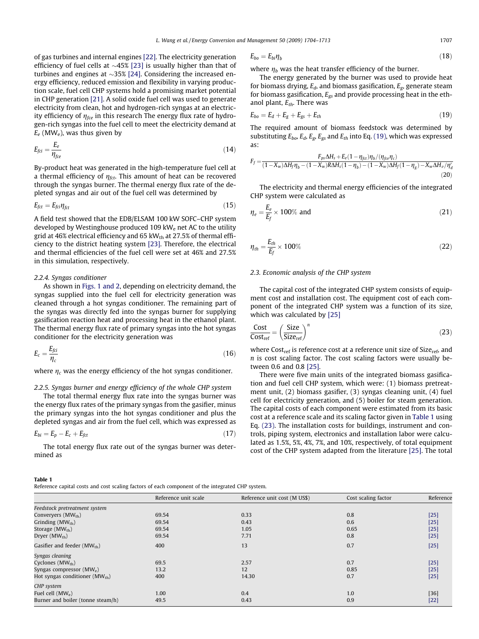<span id="page-3-0"></span>of gas turbines and internal engines [\[22\].](#page-9-0) The electricity generation efficiency of fuel cells at  ${\sim}45\%$  [\[23\]](#page-9-0) is usually higher than that of turbines and engines at  ${\sim}35\%$  [\[24\].](#page-9-0) Considering the increased energy efficiency, reduced emission and flexibility in varying production scale, fuel cell CHP systems hold a promising market potential in CHP generation [\[21\].](#page-9-0) A solid oxide fuel cell was used to generate electricity from clean, hot and hydrogen-rich syngas at an electricity efficiency of  $\eta_{\text{fce}}$  in this research The energy flux rate of hydrogen-rich syngas into the fuel cell to meet the electricity demand at  $E_e$  (MW<sub>e</sub>), was thus given by

$$
E_{fci} = \frac{E_e}{\eta_{fce}}\tag{14}
$$

By-product heat was generated in the high-temperature fuel cell at a thermal efficiency of  $\eta_{\text{fct}}$ . This amount of heat can be recovered through the syngas burner. The thermal energy flux rate of the depleted syngas and air out of the fuel cell was determined by

$$
E_{\text{fct}} = E_{\text{fct}} \eta_{\text{fct}} \tag{15}
$$

A field test showed that the EDB/ELSAM 100 kW SOFC–CHP system developed by Westinghouse produced 109 kW<sub>e</sub> net AC to the utility grid at 46% electrical efficiency and 65 kW $_{th}$  at 27.5% of thermal efficiency to the district heating system [\[23\]](#page-9-0). Therefore, the electrical and thermal efficiencies of the fuel cell were set at 46% and 27.5% in this simulation, respectively.

#### 2.2.4. Syngas conditioner

As shown in [Figs. 1 and 2,](#page-1-0) depending on electricity demand, the syngas supplied into the fuel cell for electricity generation was cleaned through a hot syngas conditioner. The remaining part of the syngas was directly fed into the syngas burner for supplying gasification reaction heat and processing heat in the ethanol plant. The thermal energy flux rate of primary syngas into the hot syngas conditioner for the electricity generation was

$$
E_c = \frac{E_{fci}}{\eta_c} \tag{16}
$$

where  $\eta_c$  was the energy efficiency of the hot syngas conditioner.

2.2.5. Syngas burner and energy efficiency of the whole CHP system The total thermal energy flux rate into the syngas burner was the energy flux rates of the primary syngas from the gasifier, minus the primary syngas into the hot syngas conditioner and plus the depleted syngas and air from the fuel cell, which was expressed as

$$
E_{bi} = E_p - E_c + E_{fct} \tag{17}
$$

The total energy flux rate out of the syngas burner was determined as

## Table 1

Reference capital costs and cost scaling factors of each component of the integrated CHP system.

$$
E_{bo} = E_{bi} \eta_b \tag{18}
$$

where  $\eta_b$  was the heat transfer efficiency of the burner.

The energy generated by the burner was used to provide heat for biomass drying,  $E_d$ , and biomass gasification,  $E_g$ , generate steam for biomass gasification,  $E_{gs}$  and provide processing heat in the ethanol plant,  $E_{th}$ . There was

$$
E_{bo} = E_d + E_g + E_{gs} + E_{th}
$$
\n<sup>(19)</sup>

The required amount of biomass feedstock was determined by substituting  $E_{bo}$ ,  $E_d$ ,  $E_g$ ,  $E_{gs}$  and  $E_{th}$  into Eq. (19), which was expressed as:

$$
F_f = \frac{F_{ps} \Delta H_s + E_e (1 - \eta_{fct}) \eta_b / (\eta_{fce} \eta_c)}{(1 - X_w) \Delta H_f \eta_b - (1 - X_w) R \Delta H_s (1 - \eta_b) - (1 - X_w) \Delta H_f (1 - \eta_g) - X_w \Delta H_v / \eta'_d}
$$
(20)

The electricity and thermal energy efficiencies of the integrated CHP system were calculated as

$$
\eta_e = \frac{E_e}{E_f} \times 100\% \text{ and} \tag{21}
$$

$$
\eta_{th} = \frac{E_{th}}{E_f} \times 100\% \tag{22}
$$

## 2.3. Economic analysis of the CHP system

The capital cost of the integrated CHP system consists of equipment cost and installation cost. The equipment cost of each component of the integrated CHP system was a function of its size, which was calculated by [\[25\]](#page-9-0)

$$
\frac{\text{Cost}}{\text{Cost}_{\text{ref}}} = \left(\frac{\text{Size}}{\text{Size}_{\text{ref}}}\right)^n\tag{23}
$$

where  $Cost_{ref}$  is reference cost at a reference unit size of  $Size_{ref}$ , and  $n$  is cost scaling factor. The cost scaling factors were usually between 0.6 and 0.8 [\[25\].](#page-9-0)

There were five main units of the integrated biomass gasification and fuel cell CHP system, which were: (1) biomass pretreatment unit, (2) biomass gasifier, (3) syngas cleaning unit, (4) fuel cell for electricity generation, and (5) boiler for steam generation. The capital costs of each component were estimated from its basic cost at a reference scale and its scaling factor given in Table 1 using Eq. (23). The installation costs for buildings, instrument and controls, piping system, electronics and installation labor were calculated as 1.5%, 5%, 4%, 7%, and 10%, respectively, of total equipment cost of the CHP system adapted from the literature [\[25\]](#page-9-0). The total

|                                    | Reference unit scale | Reference unit cost (M US\$) | Cost scaling factor | Reference |
|------------------------------------|----------------------|------------------------------|---------------------|-----------|
| Feedstock pretreatment system      |                      |                              |                     |           |
| Converyers (MW <sub>th</sub> )     | 69.54                | 0.33                         | 0.8                 | $[25]$    |
| Grinding $(MW_{th})$               | 69.54                | 0.43                         | 0.6                 | $[25]$    |
| Storage (MW <sub>th</sub> )        | 69.54                | 1.05                         | 0.65                | $[25]$    |
| $Dryer (MW_{th})$                  | 69.54                | 7.71                         | 0.8                 | $[25]$    |
| Gasifier and feeder $(MW_{th})$    | 400                  | 13                           | 0.7                 | $[25]$    |
| Syngas cleaning                    |                      |                              |                     |           |
| Cyclones (MW <sub>th</sub> )       | 69.5                 | 2.57                         | 0.7                 | $[25]$    |
| Syngas compressor $(MW_e)$         | 13.2                 | 12                           | 0.85                | $[25]$    |
| Hot syngas conditioner $(MW_{th})$ | 400                  | 14.30                        | 0.7                 | $[25]$    |
| CHP system                         |                      |                              |                     |           |
| Fuel cell $(MW_e)$                 | 1.00                 | 0.4                          | 1.0                 | $[36]$    |
| Burner and boiler (tonne steam/h)  | 49.5                 | 0.43                         | 0.9                 | $[22]$    |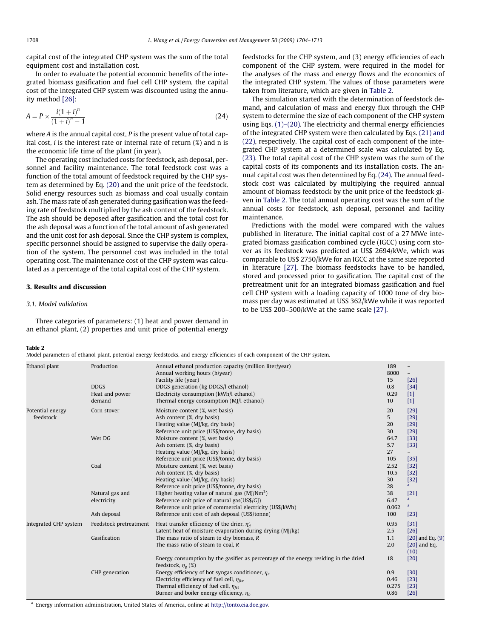capital cost of the integrated CHP system was the sum of the total equipment cost and installation cost.

In order to evaluate the potential economic benefits of the integrated biomass gasification and fuel cell CHP system, the capital cost of the integrated CHP system was discounted using the annuity method [\[26\]:](#page-9-0)

$$
A = P \times \frac{i(1+i)^n}{(1+i)^n - 1}
$$
 (24)

where A is the annual capital cost. P is the present value of total capital cost,  $i$  is the interest rate or internal rate of return  $(\%)$  and n is the economic life time of the plant (in year).

The operating cost included costs for feedstock, ash deposal, personnel and facility maintenance. The total feedstock cost was a function of the total amount of feedstock required by the CHP system as determined by Eq. [\(20\)](#page-3-0) and the unit price of the feedstock. Solid energy resources such as biomass and coal usually contain ash. The mass rate of ash generated during gasification was the feeding rate of feedstock multiplied by the ash content of the feedstock. The ash should be deposed after gasification and the total cost for the ash deposal was a function of the total amount of ash generated and the unit cost for ash deposal. Since the CHP system is complex, specific personnel should be assigned to supervise the daily operation of the system. The personnel cost was included in the total operating cost. The maintenance cost of the CHP system was calculated as a percentage of the total capital cost of the CHP system.

## 3. Results and discussion

#### 3.1. Model validation

Three categories of parameters: (1) heat and power demand in an ethanol plant, (2) properties and unit price of potential energy feedstocks for the CHP system, and (3) energy efficiencies of each component of the CHP system, were required in the model for the analyses of the mass and energy flows and the economics of the integrated CHP system. The values of those parameters were taken from literature, which are given in Table 2.

The simulation started with the determination of feedstock demand, and calculation of mass and energy flux through the CHP system to determine the size of each component of the CHP system using Eqs. [\(1\)–\(20\)](#page-1-0). The electricity and thermal energy efficiencies of the integrated CHP system were then calculated by Eqs. [\(21\) and](#page-3-0) [\(22\)](#page-3-0), respectively. The capital cost of each component of the integrated CHP system at a determined scale was calculated by Eq. [\(23\)](#page-3-0). The total capital cost of the CHP system was the sum of the capital costs of its components and its installation costs. The annual capital cost was then determined by Eq. (24). The annual feedstock cost was calculated by multiplying the required annual amount of biomass feedstock by the unit price of the feedstock given in Table 2. The total annual operating cost was the sum of the annual costs for feedstock, ash deposal, personnel and facility maintenance.

Predictions with the model were compared with the values published in literature. The initial capital cost of a 27 MWe integrated biomass gasification combined cycle (IGCC) using corn stover as its feedstock was predicted at US\$ 2694/kWe, which was comparable to US\$ 2750/kWe for an IGCC at the same size reported in literature [\[27\].](#page-9-0) The biomass feedstocks have to be handled, stored and processed prior to gasification. The capital cost of the pretreatment unit for an integrated biomass gasification and fuel cell CHP system with a loading capacity of 1000 tone of dry biomass per day was estimated at US\$ 362/kWe while it was reported to be US\$ 200–500/kWe at the same scale [\[27\].](#page-9-0)

## Table 2

Model parameters of ethanol plant, potential energy feedstocks, and energy efficiencies of each component of the CHP system.

| Ethanol plant                 | Production<br><b>DDGS</b>                     | Annual ethanol production capacity (million liter/year)<br>Annual working hours (h/year)<br>Facility life (year)<br>DDGS generation (kg DDGS/l ethanol)                                                             | 189<br>8000<br>15<br>0.8<br>0.29 | $[26]$<br>$[34]$                               |
|-------------------------------|-----------------------------------------------|---------------------------------------------------------------------------------------------------------------------------------------------------------------------------------------------------------------------|----------------------------------|------------------------------------------------|
|                               | Heat and power<br>demand                      | Electricity consumption (kWh/l ethanol)<br>Thermal energy consumption (MJ/l ethanol)                                                                                                                                | 10                               | $[1]$<br>$[1]$                                 |
| Potential energy<br>feedstock | Corn stover                                   | Moisture content (%, wet basis)<br>Ash content (%, dry basis)<br>Heating value (MJ/kg, dry basis)<br>Reference unit price (US\$/tonne, dry basis)                                                                   | 20<br>5<br>20<br>30              | [29]<br>$[29]$<br>[29]<br>[29]                 |
|                               | Wet DG                                        | Moisture content (%, wet basis)<br>Ash content (%, dry basis)<br>Heating value (MJ/kg, dry basis)<br>Reference unit price (US\$/tonne, dry basis)                                                                   | 64.7<br>5.7<br>27<br>105         | $[33]$<br>$[33]$<br>$-$<br>$[35]$              |
|                               | Coal                                          | Moisture content (%, wet basis)<br>Ash content (%, dry basis)<br>Heating value (MJ/kg, dry basis)<br>Reference unit price (US\$/tonne, dry basis)                                                                   | 2.52<br>10.5<br>30<br>28         | $[32]$<br>$[32]$<br>$[32]$<br>$\mathbf{a}$     |
|                               | Natural gas and<br>electricity<br>Ash deposal | Higher heating value of natural gas $(M)/Nm^3$ )<br>Reference unit price of natural gas(US\$/GJ)<br>Reference unit price of commercial electricity (US\$/kWh)<br>Reference unit cost of ash deposal (US\$/tonne)    | 38<br>6.47<br>0.062<br>100       | $[21]$<br>a<br>$\mathbf{a}$<br>$[23]$          |
| Integrated CHP system         | Feedstock pretreatment                        | Heat transfer efficiency of the drier, $\eta_d$<br>Latent heat of moisture evaporation during drying (MJ/kg)                                                                                                        | 0.95<br>2.5                      | $[31]$<br>$[26]$                               |
|                               | Gasification                                  | The mass ratio of steam to dry biomass, $R$<br>The mass ratio of steam to coal, $R$                                                                                                                                 | 1.1<br>2.0                       | $[20]$ and Eq. $(9)$<br>$[20]$ and Eq.<br>(10) |
|                               |                                               | Energy consumption by the gasifier as percentage of the energy residing in the dried<br>feedstock, $\eta_{\sigma}$ (%)                                                                                              | 18                               | [20]                                           |
|                               | CHP generation                                | Energy efficiency of hot syngas conditioner, $\eta_c$<br>Electricity efficiency of fuel cell, $\eta_{\text{fce}}$<br>Thermal efficiency of fuel cell, $\eta_{fct}$<br>Burner and boiler energy efficiency, $\eta_h$ | 0.9<br>0.46<br>0.275<br>0.86     | $[30]$<br>$[23]$<br>$[23]$<br>$[26]$           |

<sup>a</sup> Energy information administration, United States of America, online at [http://tonto.eia.doe.gov.](http://tonto.eia.doe.gov)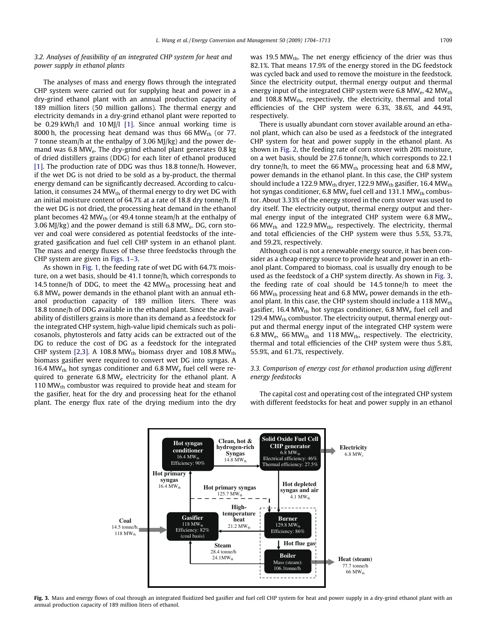3.2. Analyses of feasibility of an integrated CHP system for heat and power supply in ethanol plants

The analyses of mass and energy flows through the integrated CHP system were carried out for supplying heat and power in a dry-grind ethanol plant with an annual production capacity of 189 million liters (50 million gallons). The thermal energy and electricity demands in a dry-grind ethanol plant were reported to be 0.29 kWh/l and 10 MJ/l [\[1\]](#page-9-0). Since annual working time is 8000 h, the processing heat demand was thus 66 MW<sub>th</sub> (or 77. 7 tonne steam/h at the enthalpy of 3.06 MJ/kg) and the power demand was 6.8 MWe. The dry-grind ethanol plant generates 0.8 kg of dried distillers grains (DDG) for each liter of ethanol produced [\[1\]](#page-9-0). The production rate of DDG was thus 18.8 tonne/h. However, if the wet DG is not dried to be sold as a by-product, the thermal energy demand can be significantly decreased. According to calculation, it consumes 24  $MW_{th}$  of thermal energy to dry wet DG with an initial moisture content of 64.7% at a rate of 18.8 dry tonne/h. If the wet DG is not dried, the processing heat demand in the ethanol plant becomes 42 MW<sub>th</sub> (or 49.4 tonne steam/h at the enthalpy of 3.06 MJ/kg) and the power demand is still 6.8 MW<sub>e</sub>. DG, corn stover and coal were considered as potential feedstocks of the integrated gasification and fuel cell CHP system in an ethanol plant. The mass and energy fluxes of these three feedstocks through the CHP system are given in [Figs. 1–3](#page-1-0).

As shown in [Fig. 1,](#page-1-0) the feeding rate of wet DG with 64.7% moisture, on a wet basis, should be 41.1 tonne/h, which corresponds to 14.5 tonne/h of DDG, to meet the 42  $MW_{th}$  processing heat and 6.8 MWe power demands in the ethanol plant with an annual ethanol production capacity of 189 million liters. There was 18.8 tonne/h of DDG available in the ethanol plant. Since the availability of distillers grains is more than its demand as a feedstock for the integrated CHP system, high-value lipid chemicals such as policosanols, phytosterols and fatty acids can be extracted out of the DG to reduce the cost of DG as a feedstock for the integrated CHP system [\[2,3\]](#page-9-0). A 108.8 MW<sub>th</sub> biomass dryer and 108.8 MW<sub>th</sub> biomass gasifier were required to convert wet DG into syngas. A 16.4 MW $_{\text{th}}$  hot syngas conditioner and 6.8 MW $_{\text{e}}$  fuel cell were required to generate  $6.8 \text{ MW}_e$  electricity for the ethanol plant. A 110  $MW_{th}$  combustor was required to provide heat and steam for the gasifier, heat for the dry and processing heat for the ethanol plant. The energy flux rate of the drying medium into the dry was 19.5 MW<sub>th</sub>. The net energy efficiency of the drier was thus 82.1%. That means 17.9% of the energy stored in the DG feedstock was cycled back and used to remove the moisture in the feedstock. Since the electricity output, thermal energy output and thermal energy input of the integrated CHP system were 6.8 MW $_{\rm e}$ , 42 MW $_{\rm th}$ and  $108.8 \text{ MW}_{\text{th}}$ , respectively, the electricity, thermal and total efficiencies of the CHP system were 6.3%, 38.6%, and 44.9%, respectively.

There is usually abundant corn stover available around an ethanol plant, which can also be used as a feedstock of the integrated CHP system for heat and power supply in the ethanol plant. As shown in [Fig. 2,](#page-2-0) the feeding rate of corn stover with 20% moisture, on a wet basis, should be 27.6 tonne/h, which corresponds to 22.1 dry tonne/h, to meet the 66 MW<sub>th</sub> processing heat and 6.8 MW<sub>e</sub> power demands in the ethanol plant. In this case, the CHP system should include a 122.9 MW $_{\text{th}}$  dryer, 122.9 MW $_{\text{th}}$  gasifier, 16.4 MW $_{\text{th}}$ hot syngas conditioner, 6.8 MW<sub>e</sub> fuel cell and 131.1 MW<sub>th</sub> combustor. About 3.33% of the energy stored in the corn stover was used to dry itself. The electricity output, thermal energy output and thermal energy input of the integrated CHP system were 6.8 MW<sub>e</sub>, 66 MW<sub>th</sub> and 122.9 MW<sub>th</sub>, respectively. The electricity, thermal and total efficiencies of the CHP system were thus 5.5%, 53.7%, and 59.2%, respectively.

Although coal is not a renewable energy source, it has been consider as a cheap energy source to provide heat and power in an ethanol plant. Compared to biomass, coal is usually dry enough to be used as the feedstock of a CHP system directly. As shown in Fig. 3, the feeding rate of coal should be 14.5 tonne/h to meet the 66 MW<sub>th</sub> processing heat and 6.8 MW<sub>e</sub> power demands in the ethanol plant. In this case, the CHP system should include a 118  $MW_{th}$ gasifier, 16.4 MW $_{\text{th}}$  hot syngas conditioner, 6.8 MW $_{\text{e}}$  fuel cell and 129.4 MW<sub>th</sub> combustor. The electricity output, thermal energy output and thermal energy input of the integrated CHP system were 6.8 MW<sub>e</sub>, 66 MW<sub>th</sub> and 118 MW<sub>th</sub>, respectively. The electricity, thermal and total efficiencies of the CHP system were thus 5.8%, 55.9%, and 61.7%, respectively.

# 3.3. Comparison of energy cost for ethanol production using different energy feedstocks

The capital cost and operating cost of the integrated CHP system with different feedstocks for heat and power supply in an ethanol



Fig. 3. Mass and energy flows of coal through an integrated fluidized bed gasifier and fuel cell CHP system for heat and power supply in a dry-grind ethanol plant with an annual production capacity of 189 million liters of ethanol.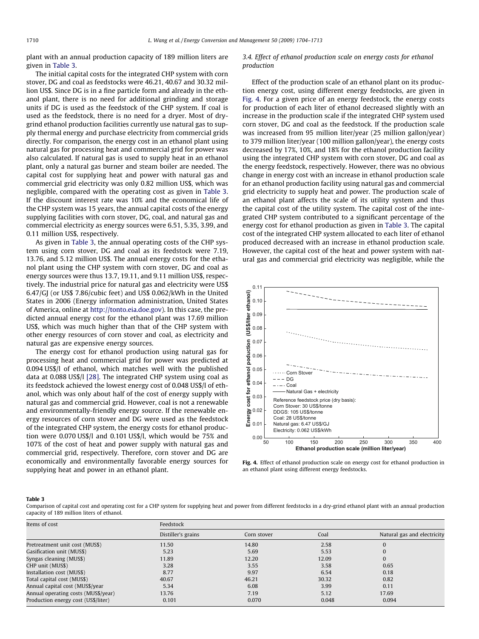<span id="page-6-0"></span>plant with an annual production capacity of 189 million liters are given in Table 3.

The initial capital costs for the integrated CHP system with corn stover, DG and coal as feedstocks were 46.21, 40.67 and 30.32 million US\$. Since DG is in a fine particle form and already in the ethanol plant, there is no need for additional grinding and storage units if DG is used as the feedstock of the CHP system. If coal is used as the feedstock, there is no need for a dryer. Most of drygrind ethanol production facilities currently use natural gas to supply thermal energy and purchase electricity from commercial grids directly. For comparison, the energy cost in an ethanol plant using natural gas for processing heat and commercial grid for power was also calculated. If natural gas is used to supply heat in an ethanol plant, only a natural gas burner and steam boiler are needed. The capital cost for supplying heat and power with natural gas and commercial grid electricity was only 0.82 million US\$, which was negligible, compared with the operating cost as given in Table 3. If the discount interest rate was 10% and the economical life of the CHP system was 15 years, the annual capital costs of the energy supplying facilities with corn stover, DG, coal, and natural gas and commercial electricity as energy sources were 6.51, 5.35, 3.99, and 0.11 million US\$, respectively.

As given in Table 3, the annual operating costs of the CHP system using corn stover, DG and coal as its feedstock were 7.19, 13.76, and 5.12 million US\$. The annual energy costs for the ethanol plant using the CHP system with corn stover, DG and coal as energy sources were thus 13.7, 19.11, and 9.11 million US\$, respectively. The industrial price for natural gas and electricity were US\$ 6.47/GJ (or US\$ 7.86/cubic feet) and US\$ 0.062/kWh in the United States in 2006 (Energy information administration, United States of America, online at <http://tonto.eia.doe.gov>). In this case, the predicted annual energy cost for the ethanol plant was 17.69 million US\$, which was much higher than that of the CHP system with other energy resources of corn stover and coal, as electricity and natural gas are expensive energy sources.

The energy cost for ethanol production using natural gas for processing heat and commercial grid for power was predicted at 0.094 US\$/l of ethanol, which matches well with the published data at 0.088 US\$/l [\[28\]](#page-9-0). The integrated CHP system using coal as its feedstock achieved the lowest energy cost of 0.048 US\$/l of ethanol, which was only about half of the cost of energy supply with natural gas and commercial grid. However, coal is not a renewable and environmentally-friendly energy source. If the renewable energy resources of corn stover and DG were used as the feedstock of the integrated CHP system, the energy costs for ethanol production were 0.070 US\$/l and 0.101 US\$/l, which would be 75% and 107% of the cost of heat and power supply with natural gas and commercial grid, respectively. Therefore, corn stover and DG are economically and environmentally favorable energy sources for supplying heat and power in an ethanol plant.

3.4. Effect of ethanol production scale on energy costs for ethanol production

Effect of the production scale of an ethanol plant on its production energy cost, using different energy feedstocks, are given in Fig. 4. For a given price of an energy feedstock, the energy costs for production of each liter of ethanol decreased slightly with an increase in the production scale if the integrated CHP system used corn stover, DG and coal as the feedstock. If the production scale was increased from 95 million liter/year (25 million gallon/year) to 379 million liter/year (100 million gallon/year), the energy costs decreased by 17%, 10%, and 18% for the ethanol production facility using the integrated CHP system with corn stover, DG and coal as the energy feedstock, respectively. However, there was no obvious change in energy cost with an increase in ethanol production scale for an ethanol production facility using natural gas and commercial grid electricity to supply heat and power. The production scale of an ethanol plant affects the scale of its utility system and thus the capital cost of the utility system. The capital cost of the integrated CHP system contributed to a significant percentage of the energy cost for ethanol production as given in Table 3. The capital cost of the integrated CHP system allocated to each liter of ethanol produced decreased with an increase in ethanol production scale. However, the capital cost of the heat and power system with natural gas and commercial grid electricity was negligible, while the



Fig. 4. Effect of ethanol production scale on energy cost for ethanol production in an ethanol plant using different energy feedstocks.

#### Table 3

Comparison of capital cost and operating cost for a CHP system for supplying heat and power from different feedstocks in a dry-grind ethanol plant with an annual production capacity of 189 million liters of ethanol.

| Items of cost                       | Feedstock          |             |       |                             |  |
|-------------------------------------|--------------------|-------------|-------|-----------------------------|--|
|                                     | Distiller's grains | Corn stover | Coal  | Natural gas and electricity |  |
| Pretreatment unit cost (MUS\$)      | 11.50              | 14.80       | 2.58  | 0                           |  |
| Gasification unit (MUS\$)           | 5.23               | 5.69        | 5.53  | 0                           |  |
| Syngas cleaning (MUS\$)             | 11.89              | 12.20       | 12.09 | $\overline{0}$              |  |
| CHP unit (MUS\$)                    | 3.28               | 3.55        | 3.58  | 0.65                        |  |
| Installation cost (MUS\$)           | 8.77               | 9.97        | 6.54  | 0.18                        |  |
| Total capital cost (MUS\$)          | 40.67              | 46.21       | 30.32 | 0.82                        |  |
| Annual capital cost (MUS\$/year     | 5.34               | 6.08        | 3.99  | 0.11                        |  |
| Annual operating costs (MUS\$/year) | 13.76              | 7.19        | 5.12  | 17.69                       |  |
| Production energy cost (US\$/liter) | 0.101              | 0.070       | 0.048 | 0.094                       |  |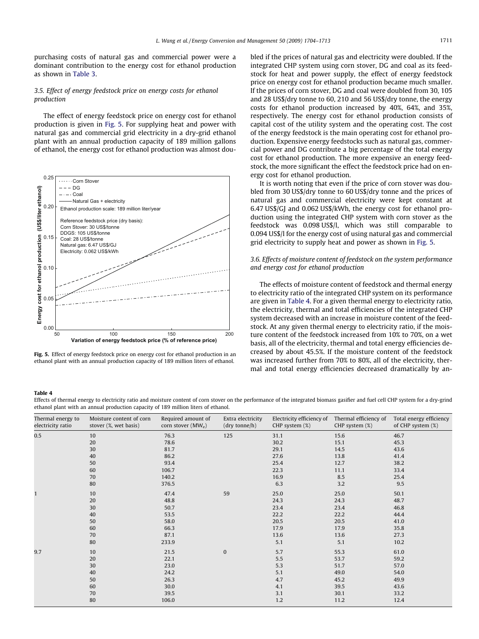<span id="page-7-0"></span>purchasing costs of natural gas and commercial power were a dominant contribution to the energy cost for ethanol production as shown in [Table 3.](#page-6-0)

# 3.5. Effect of energy feedstock price on energy costs for ethanol production

The effect of energy feedstock price on energy cost for ethanol production is given in Fig. 5. For supplying heat and power with natural gas and commercial grid electricity in a dry-grid ethanol plant with an annual production capacity of 189 million gallons of ethanol, the energy cost for ethanol production was almost dou-



Fig. 5. Effect of energy feedstock price on energy cost for ethanol production in an ethanol plant with an annual production capacity of 189 million liters of ethanol.

bled if the prices of natural gas and electricity were doubled. If the integrated CHP system using corn stover, DG and coal as its feedstock for heat and power supply, the effect of energy feedstock price on energy cost for ethanol production became much smaller. If the prices of corn stover, DG and coal were doubled from 30, 105 and 28 US\$/dry tonne to 60, 210 and 56 US\$/dry tonne, the energy costs for ethanol production increased by 40%, 64%, and 35%, respectively. The energy cost for ethanol production consists of capital cost of the utility system and the operating cost. The cost of the energy feedstock is the main operating cost for ethanol production. Expensive energy feedstocks such as natural gas, commercial power and DG contribute a big percentage of the total energy cost for ethanol production. The more expensive an energy feedstock, the more significant the effect the feedstock price had on energy cost for ethanol production.

It is worth noting that even if the price of corn stover was doubled from 30 US\$/dry tonne to 60 US\$/dry tonne and the prices of natural gas and commercial electricity were kept constant at 6.47 US\$/GJ and 0.062 US\$/kWh, the energy cost for ethanol production using the integrated CHP system with corn stover as the feedstock was 0.098 US\$/l, which was still comparable to 0.094 US\$/l for the energy cost of using natural gas and commercial grid electricity to supply heat and power as shown in Fig. 5.

# 3.6. Effects of moisture content of feedstock on the system performance and energy cost for ethanol production

The effects of moisture content of feedstock and thermal energy to electricity ratio of the integrated CHP system on its performance are given in Table 4. For a given thermal energy to electricity ratio, the electricity, thermal and total efficiencies of the integrated CHP system decreased with an increase in moisture content of the feedstock. At any given thermal energy to electricity ratio, if the moisture content of the feedstock increased from 10% to 70%, on a wet basis, all of the electricity, thermal and total energy efficiencies decreased by about 45.5%. If the moisture content of the feedstock was increased further from 70% to 80%, all of the electricity, thermal and total energy efficiencies decreased dramatically by an-

#### Table 4

Effects of thermal energy to electricity ratio and moisture content of corn stover on the performance of the integrated biomass gasifier and fuel cell CHP system for a dry-grind ethanol plant with an annual production capacity of 189 million liters of ethanol.

| Thermal energy to<br>electricity ratio | Moisture content of corn<br>stover (%, wet basis) | Required amount of<br>corn stover $(MW_e)$                      | Extra electricity<br>(dry tonne/h) | Electricity efficiency of<br>CHP system $(\%)$              | Thermal efficiency of<br>$CHP$ system $(\%)$                 | Total energy efficiency<br>of CHP system (%)                 |
|----------------------------------------|---------------------------------------------------|-----------------------------------------------------------------|------------------------------------|-------------------------------------------------------------|--------------------------------------------------------------|--------------------------------------------------------------|
| 0.5                                    | 10<br>20<br>30<br>40<br>50<br>60<br>70<br>80      | 76.3<br>78.6<br>81.7<br>86.2<br>93.4<br>106.7<br>140.2<br>376.5 | 125                                | 31.1<br>30.2<br>29.1<br>27.6<br>25.4<br>22.3<br>16.9<br>6.3 | 15.6<br>15.1<br>14.5<br>13.8<br>12.7<br>11.1<br>8.5<br>3.2   | 46.7<br>45.3<br>43.6<br>41.4<br>38.2<br>33.4<br>25.4<br>9.5  |
|                                        | 10<br>20<br>30<br>40<br>50<br>60<br>70<br>80      | 47.4<br>48.8<br>50.7<br>53.5<br>58.0<br>66.3<br>87.1<br>233.9   | 59                                 | 25.0<br>24.3<br>23.4<br>22.2<br>20.5<br>17.9<br>13.6<br>5.1 | 25.0<br>24.3<br>23.4<br>22.2<br>20.5<br>17.9<br>13.6<br>5.1  | 50.1<br>48.7<br>46.8<br>44.4<br>41.0<br>35.8<br>27.3<br>10.2 |
| 9.7                                    | 10<br>20<br>30<br>40<br>50<br>60<br>70<br>80      | 21.5<br>22.1<br>23.0<br>24.2<br>26.3<br>30.0<br>39.5<br>106.0   | $\bf{0}$                           | 5.7<br>5.5<br>5.3<br>5.1<br>4.7<br>4.1<br>3.1<br>1.2        | 55.3<br>53.7<br>51.7<br>49.0<br>45.2<br>39.5<br>30.1<br>11.2 | 61.0<br>59.2<br>57.0<br>54.0<br>49.9<br>43.6<br>33.2<br>12.4 |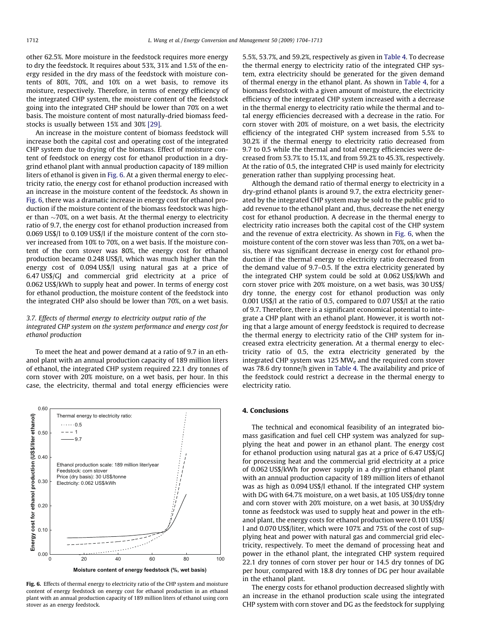other 62.5%. More moisture in the feedstock requires more energy to dry the feedstock. It requires about 53%, 31% and 1.5% of the energy resided in the dry mass of the feedstock with moisture contents of 80%, 70%, and 10% on a wet basis, to remove its moisture, respectively. Therefore, in terms of energy efficiency of the integrated CHP system, the moisture content of the feedstock going into the integrated CHP should be lower than 70% on a wet basis. The moisture content of most naturally-dried biomass feedstocks is usually between 15% and 30% [\[29\]](#page-9-0).

An increase in the moisture content of biomass feedstock will increase both the capital cost and operating cost of the integrated CHP system due to drying of the biomass. Effect of moisture content of feedstock on energy cost for ethanol production in a drygrind ethanol plant with annual production capacity of 189 million liters of ethanol is given in Fig. 6. At a given thermal energy to electricity ratio, the energy cost for ethanol production increased with an increase in the moisture content of the feedstock. As shown in Fig. 6, there was a dramatic increase in energy cost for ethanol production if the moisture content of the biomass feedstock was higher than  ${\sim}70\%$ , on a wet basis. At the thermal energy to electricity ratio of 9.7, the energy cost for ethanol production increased from 0.069 US\$/l to 0.109 US\$/l if the moisture content of the corn stover increased from 10% to 70%, on a wet basis. If the moisture content of the corn stover was 80%, the energy cost for ethanol production became 0.248 US\$/l, which was much higher than the energy cost of 0.094 US\$/l using natural gas at a price of 6.47 US\$/GJ and commercial grid electricity at a price of 0.062 US\$/kWh to supply heat and power. In terms of energy cost for ethanol production, the moisture content of the feedstock into the integrated CHP also should be lower than 70%, on a wet basis.

## 3.7. Effects of thermal energy to electricity output ratio of the integrated CHP system on the system performance and energy cost for ethanol production

To meet the heat and power demand at a ratio of 9.7 in an ethanol plant with an annual production capacity of 189 million liters of ethanol, the integrated CHP system required 22.1 dry tonnes of corn stover with 20% moisture, on a wet basis, per hour. In this case, the electricity, thermal and total energy efficiencies were



Fig. 6. Effects of thermal energy to electricity ratio of the CHP system and moisture content of energy feedstock on energy cost for ethanol production in an ethanol plant with an annual production capacity of 189 million liters of ethanol using corn stover as an energy feedstock.

5.5%, 53.7%, and 59.2%, respectively as given in [Table 4.](#page-7-0) To decrease the thermal energy to electricity ratio of the integrated CHP system, extra electricity should be generated for the given demand of thermal energy in the ethanol plant. As shown in [Table 4,](#page-7-0) for a biomass feedstock with a given amount of moisture, the electricity efficiency of the integrated CHP system increased with a decrease in the thermal energy to electricity ratio while the thermal and total energy efficiencies decreased with a decrease in the ratio. For corn stover with 20% of moisture, on a wet basis, the electricity efficiency of the integrated CHP system increased from 5.5% to 30.2% if the thermal energy to electricity ratio decreased from 9.7 to 0.5 while the thermal and total energy efficiencies were decreased from 53.7% to 15.1%, and from 59.2% to 45.3%, respectively. At the ratio of 0.5, the integrated CHP is used mainly for electricity generation rather than supplying processing heat.

Although the demand ratio of thermal energy to electricity in a dry-grind ethanol plants is around 9.7, the extra electricity generated by the integrated CHP system may be sold to the public grid to add revenue to the ethanol plant and, thus, decrease the net energy cost for ethanol production. A decrease in the thermal energy to electricity ratio increases both the capital cost of the CHP system and the revenue of extra electricity. As shown in Fig. 6, when the moisture content of the corn stover was less than 70%, on a wet basis, there was significant decrease in energy cost for ethanol production if the thermal energy to electricity ratio decreased from the demand value of 9.7–0.5. If the extra electricity generated by the integrated CHP system could be sold at 0.062 US\$/kWh and corn stover price with 20% moisture, on a wet basis, was 30 US\$/ dry tonne, the energy cost for ethanol production was only 0.001 US\$/l at the ratio of 0.5, compared to 0.07 US\$/l at the ratio of 9.7. Therefore, there is a significant economical potential to integrate a CHP plant with an ethanol plant. However, it is worth noting that a large amount of energy feedstock is required to decrease the thermal energy to electricity ratio of the CHP system for increased extra electricity generation. At a thermal energy to electricity ratio of 0.5, the extra electricity generated by the integrated CHP system was 125 MW $_{\rm e}$  and the required corn stover was 78.6 dry tonne/h given in [Table 4.](#page-7-0) The availability and price of the feedstock could restrict a decrease in the thermal energy to electricity ratio.

#### 4. Conclusions

The technical and economical feasibility of an integrated biomass gasification and fuel cell CHP system was analyzed for supplying the heat and power in an ethanol plant. The energy cost for ethanol production using natural gas at a price of 6.47 US\$/GJ for processing heat and the commercial grid electricity at a price of 0.062 US\$/kWh for power supply in a dry-grind ethanol plant with an annual production capacity of 189 million liters of ethanol was as high as 0.094 US\$/l ethanol. If the integrated CHP system with DG with 64.7% moisture, on a wet basis, at 105 US\$/dry tonne and corn stover with 20% moisture, on a wet basis, at 30 US\$/dry tonne as feedstock was used to supply heat and power in the ethanol plant, the energy costs for ethanol production were 0.101 US\$/ l and 0.070 US\$/liter, which were 107% and 75% of the cost of supplying heat and power with natural gas and commercial grid electricity, respectively. To meet the demand of processing heat and power in the ethanol plant, the integrated CHP system required 22.1 dry tonnes of corn stover per hour or 14.5 dry tonnes of DG per hour, compared with 18.8 dry tonnes of DG per hour available in the ethanol plant.

The energy costs for ethanol production decreased slightly with an increase in the ethanol production scale using the integrated CHP system with corn stover and DG as the feedstock for supplying